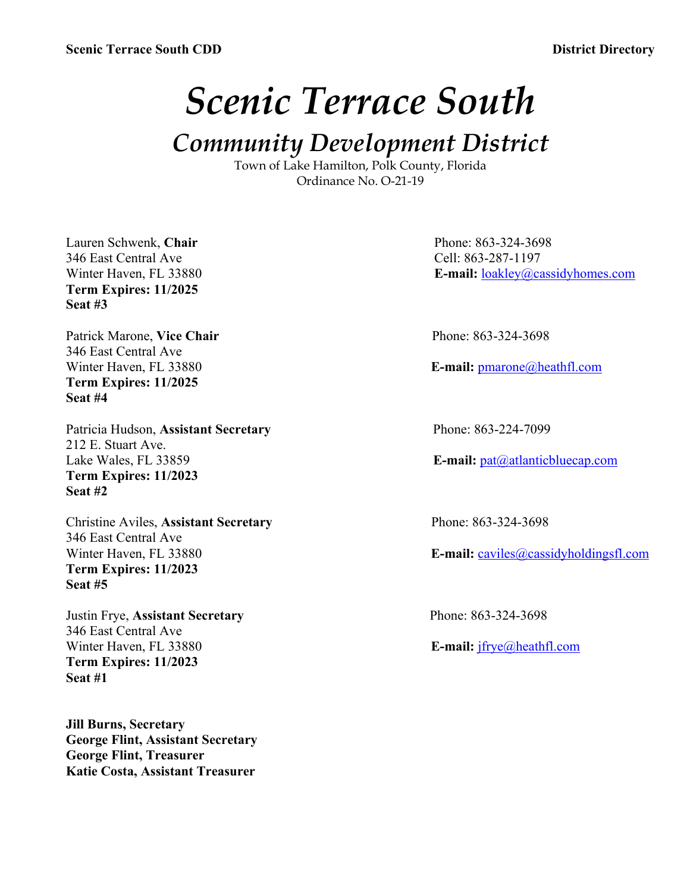# *Scenic Terrace South*

## *Community Development District*

Town of Lake Hamilton, Polk County, Florida Ordinance No. O-21-19

Lauren Schwenk, Chair **Phone: 863-324-3698** 346 East Central Ave Cell: 863-287-1197 **Term Expires: 11/2025 Seat #3**

Patrick Marone, Vice Chair **Phone: 863-324-3698** 346 East Central Ave **Term Expires: 11/2025 Seat #4**

Patricia Hudson, **Assistant Secretary** Phone: 863-224-7099 212 E. Stuart Ave. Lake Wales, FL 33859 **E-mail:** pat@atlanticbluecap.com **Term Expires: 11/2023 Seat #2**

Christine Aviles, **Assistant Secretary** Phone: 863-324-3698 346 East Central Ave<br>Winter Haven, FL 33880 **Term Expires: 11/2023 Seat #5**

Justin Frye, **Assistant Secretary** Phone: 863-324-3698 346 East Central Ave Winter Haven, FL 33880 **E-mail:** jfrye@heathfl.com **Term Expires: 11/2023 Seat #1**

**Jill Burns, Secretary George Flint, Assistant Secretary George Flint, Treasurer Katie Costa, Assistant Treasurer**

Winter Haven, FL 33880 **E-mail:** loakley@cassidyhomes.com

Winter Haven, FL 33880 **E-mail:** pmarone@heathfl.com

E-mail: caviles@cassidyholdingsfl.com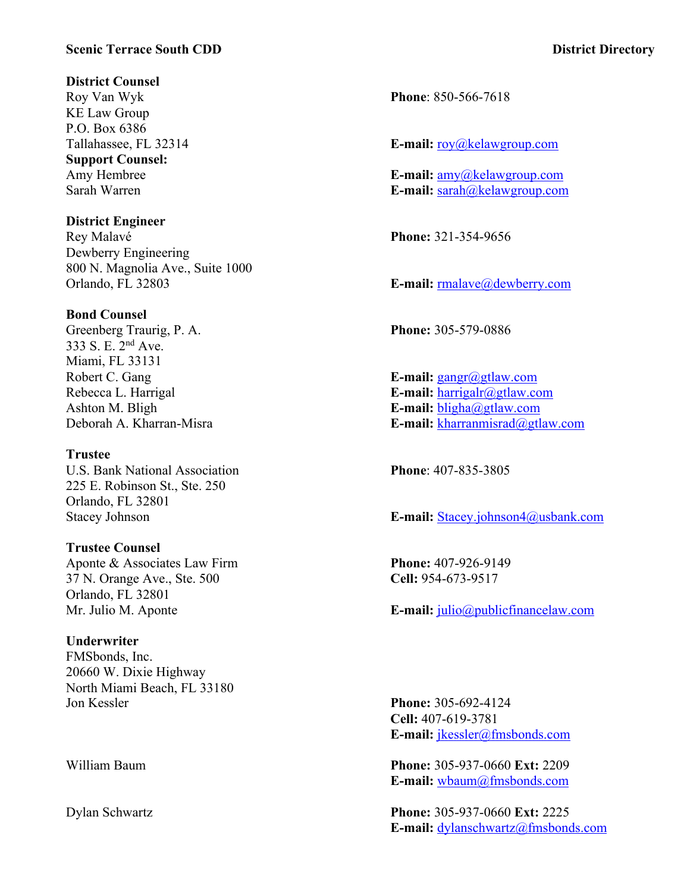#### **Scenic Terrace South CDD District Directory**

#### **District Counsel**

Roy Van Wyk **Phone**: 850-566-7618 KE Law Group P.O. Box 6386 **Support Counsel:**

### **District Engineer**

Dewberry Engineering 800 N. Magnolia Ave., Suite 1000 Orlando, FL 32803 **E-mail:** respectively compared to the E-mail: respectively compared to E-mail: respectively compared to E-mail: respectively compared to E-mail: respectively compared to E-mail: respectively compared to

#### **Bond Counsel**

Greenberg Traurig, P. A. **Phone:** 305-579-0886 333 S. E. 2nd Ave. Miami, FL 33131 Robert C. Gang **E**-mail: gangr@gtlaw.com

#### **Trustee**

U.S. Bank National Association **Phone**: 407-835-3805 225 E. Robinson St., Ste. 250 Orlando, FL 32801

### **Trustee Counsel** Aponte & Associates Law Firm **Phone:** 407-926-9149 37 N. Orange Ave., Ste. 500 **Cell:** 954-673-9517 Orlando, FL 32801

#### **Underwriter**

FMSbonds, Inc. 20660 W. Dixie Highway North Miami Beach, FL 33180 Jon Kessler **Phone:** 305-692-4124

Tallahassee, FL 32314 **E-mail:** roy@kelawgroup.com

Amy Hembree **E-mail:** amy@kelawgroup.com Sarah Warren **E-mail:** sarah@kelawgroup.com

Rey Malavé **Phone:** 321-354-9656

Rebecca L. Harrigal **E-mail:** harrigalr@gtlaw.com Ashton M. Bligh **E-mail:** bligha@gtlaw.com Deborah A. Kharran-Misra **E-mail:** kharranmisrad@gtlaw.com

Stacey Johnson **E-mail:** Stacey.johnson4@usbank.com

Mr. Julio M. Aponte **E-mail:** julio@publicfinancelaw.com

**Cell:** 407-619-3781 **E-mail:** jkessler@fmsbonds.com

William Baum **Phone:** 305-937-0660 **Ext:** 2209 **E-mail:** wbaum@fmsbonds.com

Dylan Schwartz **Phone:** 305-937-0660 **Ext:** 2225 **E-mail:** dylanschwartz@fmsbonds.com